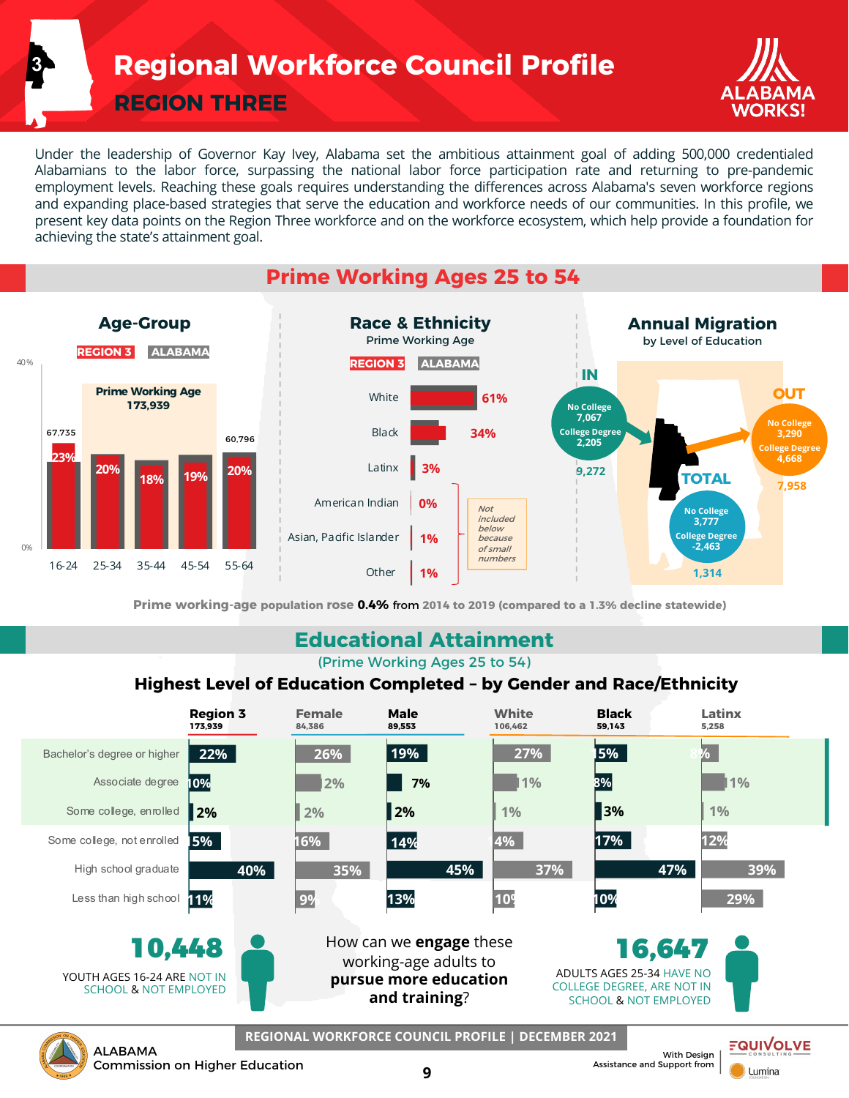**Regional Workforce Council Profile**

**REGION THREE**

**3**



**Lumina** 

Under the leadership of Governor Kay Ivey, Alabama set the ambitious attainment goal of adding 500,000 credentialed Alabamians to the labor force, surpassing the national labor force participation rate and returning to pre-pandemic employment levels. Reaching these goals requires understanding the differences across Alabama's seven workforce regions and expanding place-based strategies that serve the education and workforce needs of our communities. In this profile, we present key data points on the Region Three workforce and on the workforce ecosystem, which help provide a foundation for achieving the state's attainment goal.

### **Prime Working Ages 25 to 54**



**Prime working-age population rose 0.4%** from **2014 to 2019 (compared to a 1.3% decline statewide)**

#### **Educational Attainment**

(Prime Working Ages 25 to 54)

#### **Highest Level of Education Completed – by Gender and Race/Ethnicity**